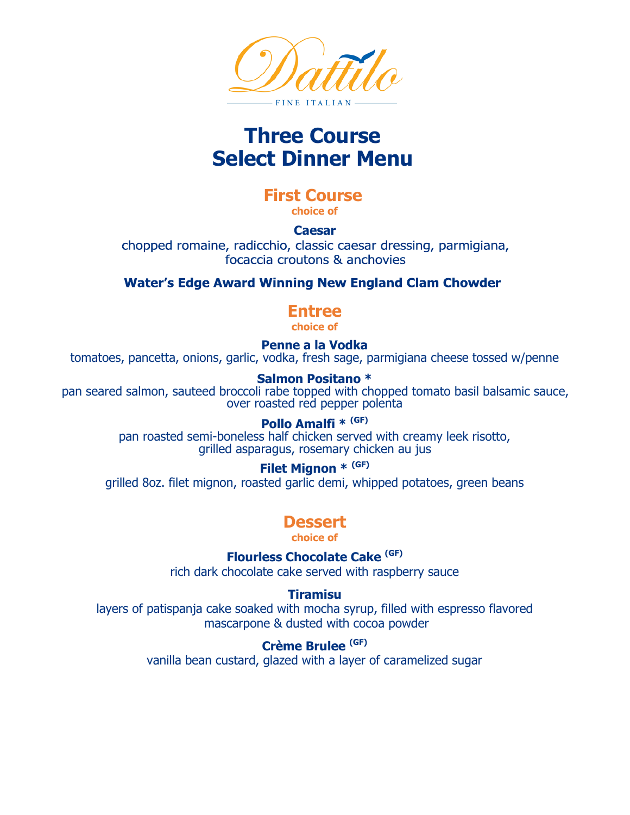

# **Three Course Select Dinner Menu**

#### **First Course choice of**

#### **Caesar**

chopped romaine, radicchio, classic caesar dressing, parmigiana, focaccia croutons & anchovies

## **Water's Edge Award Winning New England Clam Chowder**

## **Entree**

**choice of**

**Penne a la Vodka** tomatoes, pancetta, onions, garlic, vodka, fresh sage, parmigiana cheese tossed w/penne

#### **Salmon Positano \***

pan seared salmon, sauteed broccoli rabe topped with chopped tomato basil balsamic sauce, over roasted red pepper polenta

#### **Pollo Amalfi \* (GF)**

pan roasted semi-boneless half chicken served with creamy leek risotto, grilled asparagus, rosemary chicken au jus

#### **Filet Mignon \* (GF)**

grilled 8oz. filet mignon, roasted garlic demi, whipped potatoes, green beans

## **Dessert**

**choice of**

**Flourless Chocolate Cake (GF)**

rich dark chocolate cake served with raspberry sauce

#### **Tiramisu**

layers of patispanja cake soaked with mocha syrup, filled with espresso flavored mascarpone & dusted with cocoa powder

#### **Crème Brulee (GF)**

vanilla bean custard, glazed with a layer of caramelized sugar